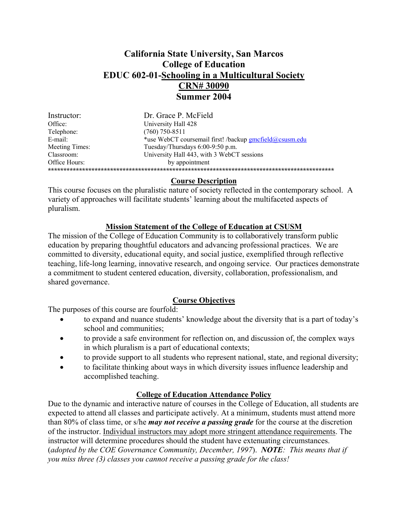# **California State University, San Marcos College of Education EDUC 602-01-Schooling in a Multicultural Society CRN# 30090 Summer 2004**

| Dr. Grace P. McField                                    |
|---------------------------------------------------------|
| University Hall 428                                     |
| $(760)$ 750-8511                                        |
| *use WebCT coursemail first! /backup gmcfield@csusm.edu |
| Tuesday/Thursdays 6:00-9:50 p.m.                        |
| University Hall 443, with 3 WebCT sessions              |
| by appointment                                          |
|                                                         |
|                                                         |

## **Course Description**

This course focuses on the pluralistic nature of society reflected in the contemporary school. A variety of approaches will facilitate students' learning about the multifaceted aspects of pluralism.

## **Mission Statement of the College of Education at CSUSM**

The mission of the College of Education Community is to collaboratively transform public education by preparing thoughtful educators and advancing professional practices. We are committed to diversity, educational equity, and social justice, exemplified through reflective teaching, life-long learning, innovative research, and ongoing service. Our practices demonstrate a commitment to student centered education, diversity, collaboration, professionalism, and shared governance.

## **Course Objectives**

The purposes of this course are fourfold:

- to expand and nuance students' knowledge about the diversity that is a part of today's school and communities;
- to provide a safe environment for reflection on, and discussion of, the complex ways in which pluralism is a part of educational contexts;
- to provide support to all students who represent national, state, and regional diversity;
- to facilitate thinking about ways in which diversity issues influence leadership and accomplished teaching.

## **College of Education Attendance Policy**

Due to the dynamic and interactive nature of courses in the College of Education, all students are expected to attend all classes and participate actively. At a minimum, students must attend more than 80% of class time, or s/he *may not receive a passing grade* for the course at the discretion of the instructor. Individual instructors may adopt more stringent attendance requirements. The instructor will determine procedures should the student have extenuating circumstances. (*adopted by the COE Governance Community, December, 1997*). *NOTE: This means that if you miss three (3) classes you cannot receive a passing grade for the class!*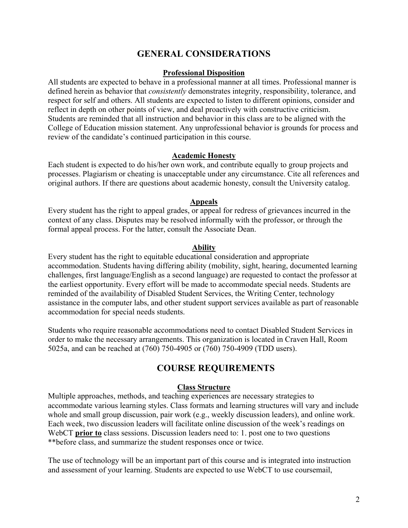# **GENERAL CONSIDERATIONS**

#### **Professional Disposition**

All students are expected to behave in a professional manner at all times. Professional manner is defined herein as behavior that *consistently* demonstrates integrity, responsibility, tolerance, and respect for self and others. All students are expected to listen to different opinions, consider and reflect in depth on other points of view, and deal proactively with constructive criticism. Students are reminded that all instruction and behavior in this class are to be aligned with the College of Education mission statement. Any unprofessional behavior is grounds for process and review of the candidate's continued participation in this course.

#### **Academic Honesty**

Each student is expected to do his/her own work, and contribute equally to group projects and processes. Plagiarism or cheating is unacceptable under any circumstance. Cite all references and original authors. If there are questions about academic honesty, consult the University catalog.

### **Appeals**

Every student has the right to appeal grades, or appeal for redress of grievances incurred in the context of any class. Disputes may be resolved informally with the professor, or through the formal appeal process. For the latter, consult the Associate Dean.

#### **Ability**

Every student has the right to equitable educational consideration and appropriate accommodation. Students having differing ability (mobility, sight, hearing, documented learning challenges, first language/English as a second language) are requested to contact the professor at the earliest opportunity. Every effort will be made to accommodate special needs. Students are reminded of the availability of Disabled Student Services, the Writing Center, technology assistance in the computer labs, and other student support services available as part of reasonable accommodation for special needs students.

Students who require reasonable accommodations need to contact Disabled Student Services in order to make the necessary arrangements. This organization is located in Craven Hall, Room 5025a, and can be reached at (760) 750-4905 or (760) 750-4909 (TDD users).

## **COURSE REQUIREMENTS**

#### **Class Structure**

Multiple approaches, methods, and teaching experiences are necessary strategies to accommodate various learning styles. Class formats and learning structures will vary and include whole and small group discussion, pair work (e.g., weekly discussion leaders), and online work. Each week, two discussion leaders will facilitate online discussion of the week's readings on WebCT **prior to** class sessions. Discussion leaders need to: 1, post one to two questions \*\*before class, and summarize the student responses once or twice.

The use of technology will be an important part of this course and is integrated into instruction and assessment of your learning. Students are expected to use WebCT to use coursemail,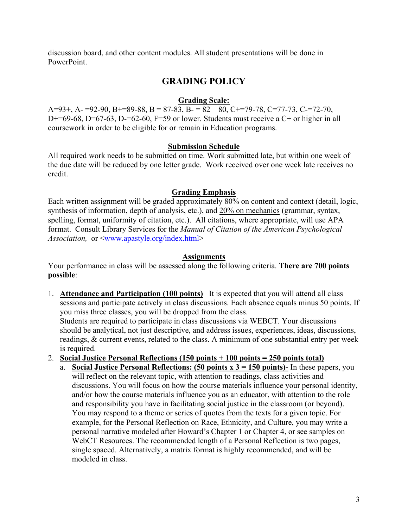discussion board, and other content modules. All student presentations will be done in PowerPoint.

# **GRADING POLICY**

## **Grading Scale:**

A=93+, A- =92-90, B+=89-88, B = 87-83, B- = 82 – 80, C+=79-78, C=77-73, C-=72-70, D+=69-68, D=67-63, D-=62-60, F=59 or lower. Students must receive a C+ or higher in all coursework in order to be eligible for or remain in Education programs.

## **Submission Schedule**

All required work needs to be submitted on time. Work submitted late, but within one week of the due date will be reduced by one letter grade. Work received over one week late receives no credit.

## **Grading Emphasis**

Each written assignment will be graded approximately 80% on content and context (detail, logic, synthesis of information, depth of analysis, etc.), and 20% on mechanics (grammar, syntax, spelling, format, uniformity of citation, etc.). All citations, where appropriate, will use APA format. Consult Library Services for the *Manual of Citation of the American Psychological Association,* or <www.apastyle.org/index.html>

## **Assignments**

Your performance in class will be assessed along the following criteria. **There are 700 points possible**:

- 1. **Attendance and Participation (100 points)** –It is expected that you will attend all class sessions and participate actively in class discussions. Each absence equals minus 50 points. If you miss three classes, you will be dropped from the class. Students are required to participate in class discussions via WEBCT. Your discussions should be analytical, not just descriptive, and address issues, experiences, ideas, discussions, readings, & current events, related to the class. A minimum of one substantial entry per week is required.
- 2. **Social Justice Personal Reflections (150 points + 100 points = 250 points total)**
	- a. **Social Justice Personal Reflections: (50 points x 3 = 150 points)-** In these papers, you will reflect on the relevant topic, with attention to readings, class activities and discussions. You will focus on how the course materials influence your personal identity, and/or how the course materials influence you as an educator, with attention to the role and responsibility you have in facilitating social justice in the classroom (or beyond). You may respond to a theme or series of quotes from the texts for a given topic. For example, for the Personal Reflection on Race, Ethnicity, and Culture, you may write a personal narrative modeled after Howard's Chapter 1 or Chapter 4, or see samples on WebCT Resources. The recommended length of a Personal Reflection is two pages, single spaced. Alternatively, a matrix format is highly recommended, and will be modeled in class.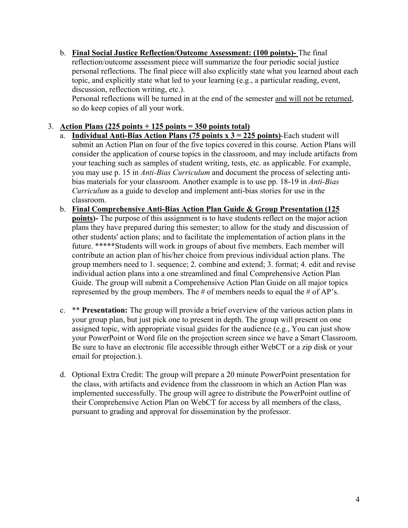b. **Final Social Justice Reflection/Outcome Assessment: (100 points)-** The final reflection/outcome assessment piece will summarize the four periodic social justice personal reflections. The final piece will also explicitly state what you learned about each topic, and explicitly state what led to your learning (e.g., a particular reading, event, discussion, reflection writing, etc.).

 Personal reflections will be turned in at the end of the semester and will not be returned, so do keep copies of all your work.

## 3. **Action Plans (225 points + 125 points = 350 points total)**

- a. **Individual Anti-Bias Action Plans (75 points x 3 = 225 points)**-Each student will submit an Action Plan on four of the five topics covered in this course. Action Plans will consider the application of course topics in the classroom, and may include artifacts from your teaching such as samples of student writing, tests, etc. as applicable. For example, you may use p. 15 in *Anti-Bias Curriculum* and document the process of selecting antibias materials for your classroom. Another example is to use pp. 18-19 in *Anti-Bias Curriculum* as a guide to develop and implement anti-bias stories for use in the classroom.
- b. **Final Comprehensive Anti-Bias Action Plan Guide & Group Presentation (125 points)-** The purpose of this assignment is to have students reflect on the major action plans they have prepared during this semester; to allow for the study and discussion of other students' action plans; and to facilitate the implementation of action plans in the future. \*\*\*\*\*Students will work in groups of about five members. Each member will contribute an action plan of his/her choice from previous individual action plans. The group members need to 1. sequence; 2. combine and extend; 3. format; 4. edit and revise individual action plans into a one streamlined and final Comprehensive Action Plan Guide. The group will submit a Comprehensive Action Plan Guide on all major topics represented by the group members. The # of members needs to equal the # of AP's.
- c. \*\* **Presentation:** The group will provide a brief overview of the various action plans in your group plan, but just pick one to present in depth. The group will present on one assigned topic, with appropriate visual guides for the audience (e.g., You can just show your PowerPoint or Word file on the projection screen since we have a Smart Classroom. Be sure to have an electronic file accessible through either WebCT or a zip disk or your email for projection.).
- d. Optional Extra Credit: The group will prepare a 20 minute PowerPoint presentation for the class, with artifacts and evidence from the classroom in which an Action Plan was implemented successfully. The group will agree to distribute the PowerPoint outline of their Comprehensive Action Plan on WebCT for access by all members of the class, pursuant to grading and approval for dissemination by the professor.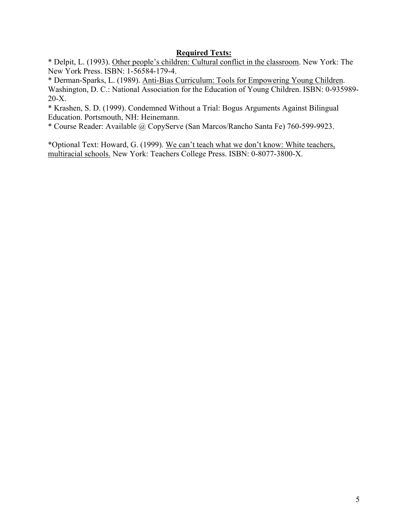## **Required Texts:**

\* Delpit, L. (1993). Other people's children: Cultural conflict in the classroom. New York: The New York Press. ISBN: 1-56584-179-4.

\* Derman-Sparks, L. (1989). Anti-Bias Curriculum: Tools for Empowering Young Children. Washington, D. C.: National Association for the Education of Young Children. ISBN: 0-935989-20-X.

\* Krashen, S. D. (1999). Condemned Without a Trial: Bogus Arguments Against Bilingual Education. Portsmouth, NH: Heinemann.

\* Course Reader: Available @ CopyServe (San Marcos/Rancho Santa Fe) 760-599-9923.

\*Optional Text: Howard, G. (1999). We can't teach what we don't know: White teachers, multiracial schools. New York: Teachers College Press. ISBN: 0-8077-3800-X.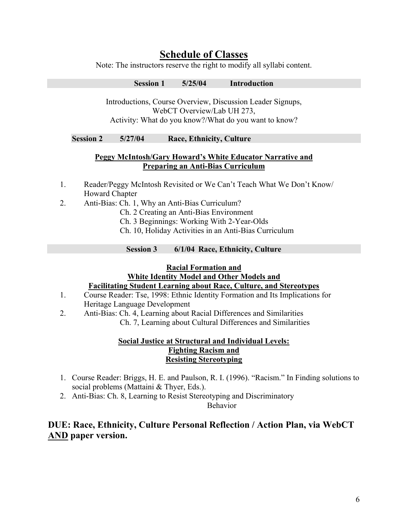# **Schedule of Classes**

Note: The instructors reserve the right to modify all syllabi content.

**Session 1 5/25/04 Introduction** 

Introductions, Course Overview, Discussion Leader Signups, WebCT Overview/Lab UH 273, Activity: What do you know?/What do you want to know?

## **Session 2 5/27/04 Race, Ethnicity, Culture**

## **Peggy McIntosh/Gary Howard's White Educator Narrative and Preparing an Anti-Bias Curriculum**

- 1. Reader/Peggy McIntosh Revisited or We Can't Teach What We Don't Know/ Howard Chapter
- 2. Anti-Bias: Ch. 1, Why an Anti-Bias Curriculum?
	- Ch. 2 Creating an Anti-Bias Environment
	- Ch. 3 Beginnings: Working With 2-Year-Olds
	- Ch. 10, Holiday Activities in an Anti-Bias Curriculum

**Session 3 6/1/04 Race, Ethnicity, Culture** 

#### **Racial Formation and**

## **White Identity Model and Other Models and Facilitating Student Learning about Race, Culture, and Stereotypes**

- 1. Course Reader: Tse, 1998: Ethnic Identity Formation and Its Implications for Heritage Language Development
- 2. Anti-Bias: Ch. 4, Learning about Racial Differences and Similarities Ch. 7, Learning about Cultural Differences and Similarities

## **Social Justice at Structural and Individual Levels: Fighting Racism and Resisting Stereotyping**

- 1. Course Reader: Briggs, H. E. and Paulson, R. I. (1996). "Racism." In Finding solutions to social problems (Mattaini & Thyer, Eds.).
- 2. Anti-Bias: Ch. 8, Learning to Resist Stereotyping and Discriminatory

Behavior

# **DUE: Race, Ethnicity, Culture Personal Reflection / Action Plan, via WebCT AND paper version.**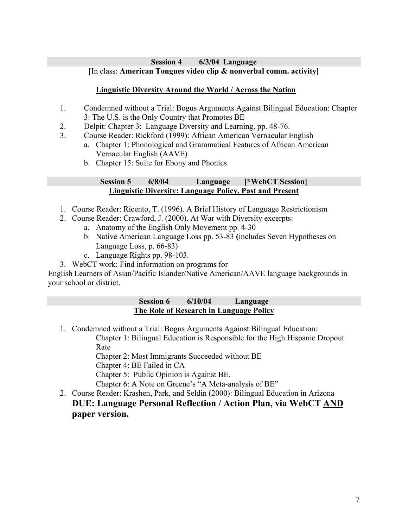### **Session 4 6/3/04 Language**  [In class: **American Tongues video clip & nonverbal comm. activity]**

## **Linguistic Diversity Around the World / Across the Nation**

- 1. Condemned without a Trial: Bogus Arguments Against Bilingual Education: Chapter 3: The U.S. is the Only Country that Promotes BE
- 2. Delpit: Chapter 3: Language Diversity and Learning, pp. 48-76.
- 3. Course Reader: Rickford (1999): African American Vernacular English
	- a. Chapter 1: Phonological and Grammatical Features of African American Vernacular English (AAVE)
	- b. Chapter 15: Suite for Ebony and Phonics

## **Session 5 6/8/04 Language [\*WebCT Session] Linguistic Diversity: Language Policy, Past and Present**

- 1. Course Reader: Ricento, T. (1996). A Brief History of Language Restrictionism
- 2. Course Reader: Crawford, J. (2000). At War with Diversity excerpts:
	- a. Anatomy of the English Only Movement pp. 4-30
	- b. Native American Language Loss pp. 53-83 **(**includes Seven Hypotheses on Language Loss, p. 66-83)
	- c. Language Rights pp. 98-103.
- 3. WebCT work: Find information on programs for

English Learners of Asian/Pacific Islander/Native American/AAVE language backgrounds in your school or district.

## **Session 6 6/10/04 Language The Role of Research in Language Policy**

- 1. Condemned without a Trial: Bogus Arguments Against Bilingual Education:
	- Chapter 1: Bilingual Education is Responsible for the High Hispanic Dropout Rate

Chapter 2: Most Immigrants Succeeded without BE

Chapter 4: BE Failed in CA

Chapter 5: Public Opinion is Against BE.

Chapter 6: A Note on Greene's "A Meta-analysis of BE"

2. Course Reader: Krashen, Park, and Seldin (2000): Bilingual Education in Arizona **DUE: Language Personal Reflection / Action Plan, via WebCT AND paper version.**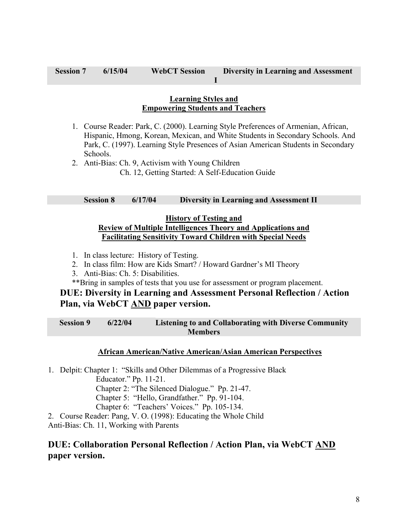#### **Learning Styles and Empowering Students and Teachers**

1. Course Reader: Park, C. (2000). Learning Style Preferences of Armenian, African, Hispanic, Hmong, Korean, Mexican, and White Students in Secondary Schools. And Park, C. (1997). Learning Style Presences of Asian American Students in Secondary Schools.

 **I** 

2. Anti-Bias: Ch. 9, Activism with Young Children Ch. 12, Getting Started: A Self-Education Guide

### **Session 8 6/17/04 Diversity in Learning and Assessment II**

#### **History of Testing and Review of Multiple Intelligences Theory and Applications and Facilitating Sensitivity Toward Children with Special Needs**

- 1. In class lecture: History of Testing.
- 2. In class film: How are Kids Smart? / Howard Gardner's MI Theory
- 3. Anti-Bias: Ch. 5: Disabilities.
- \*\*Bring in samples of tests that you use for assessment or program placement.

## **DUE: Diversity in Learning and Assessment Personal Reflection / Action Plan, via WebCT AND paper version.**

**Session 9 6/22/04 Listening to and Collaborating with Diverse Community Members** 

#### **African American/Native American/Asian American Perspectives**

1. Delpit: Chapter 1: "Skills and Other Dilemmas of a Progressive Black Educator." Pp. 11-21. Chapter 2: "The Silenced Dialogue." Pp. 21-47.

Chapter 5: "Hello, Grandfather." Pp. 91-104.

Chapter 6: "Teachers' Voices." Pp. 105-134.

2. Course Reader: Pang, V. O. (1998): Educating the Whole Child

Anti-Bias: Ch. 11, Working with Parents

## **DUE: Collaboration Personal Reflection / Action Plan, via WebCT AND paper version.**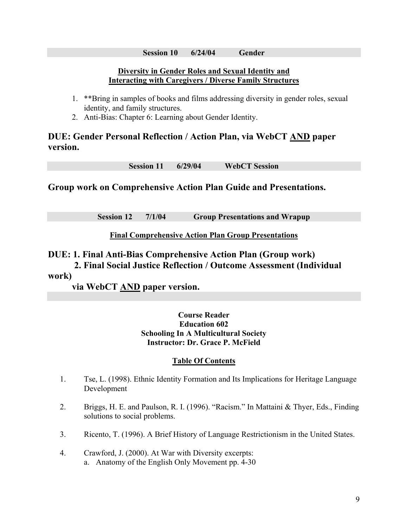#### **Session 10 6/24/04 Gender**

## **Diversity in Gender Roles and Sexual Identity and Interacting with Caregivers / Diverse Family Structures**

- 1. \*\*Bring in samples of books and films addressing diversity in gender roles, sexual identity, and family structures.
- 2. Anti-Bias: Chapter 6: Learning about Gender Identity.

# **DUE: Gender Personal Reflection / Action Plan, via WebCT AND paper version.**

**Session 11 6/29/04 WebCT Session** 

**Group work on Comprehensive Action Plan Guide and Presentations.** 

**Session 12 7/1/04 Group Presentations and Wrapup** 

**Final Comprehensive Action Plan Group Presentations**

**DUE: 1. Final Anti-Bias Comprehensive Action Plan (Group work)** 

 **2. Final Social Justice Reflection / Outcome Assessment (Individual work)** 

**via WebCT AND paper version.**

### **Course Reader Education 602 Schooling In A Multicultural Society Instructor: Dr. Grace P. McField**

## **Table Of Contents**

- 1. Tse, L. (1998). Ethnic Identity Formation and Its Implications for Heritage Language Development
- 2. Briggs, H. E. and Paulson, R. I. (1996). "Racism." In Mattaini & Thyer, Eds., Finding solutions to social problems.
- 3. Ricento, T. (1996). A Brief History of Language Restrictionism in the United States.
- 4. Crawford, J. (2000). At War with Diversity excerpts: a. Anatomy of the English Only Movement pp. 4-30